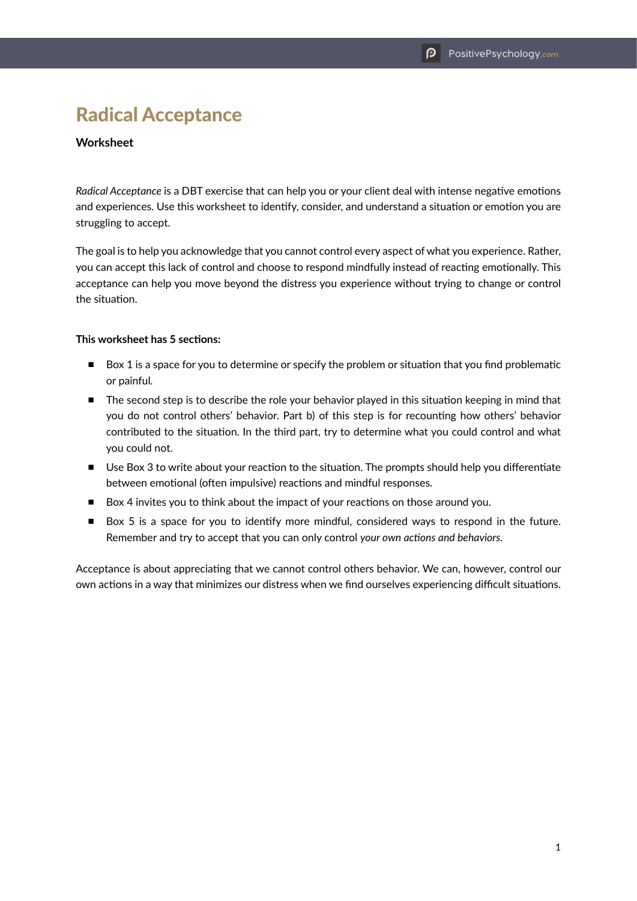# Radical Acceptance

## **Worksheet**

*Radical Acceptance* is a DBT exercise that can help you or your client deal with intense negative emotions and experiences. Use this worksheet to identify, consider, and understand a situation or emotion you are struggling to accept.

The goal is to help you acknowledge that you cannot control every aspect of what you experience. Rather, you can accept this lack of control and choose to respond mindfully instead of reacting emotionally. This acceptance can help you move beyond the distress you experience without trying to change or control the situation.

#### **This worksheet has 5 sections:**

- Box 1 is a space for you to determine or specify the problem or situation that you find problematic or painful*.*
- The second step is to describe the role your behavior played in this situation keeping in mind that you do not control others' behavior. Part b) of this step is for recounting how others' behavior contributed to the situation. In the third part, try to determine what you could control and what you could not.
- Use Box 3 to write about your reaction to the situation. The prompts should help you differentiate between emotional (often impulsive) reactions and mindful responses.
- Box 4 invites you to think about the impact of your reactions on those around you.
- Box 5 is a space for you to identify more mindful, considered ways to respond in the future. Remember and try to accept that you can only control *your own actions and behaviors.*

Acceptance is about appreciating that we cannot control others behavior. We can, however, control our own actions in a way that minimizes our distress when we find ourselves experiencing difficult situations.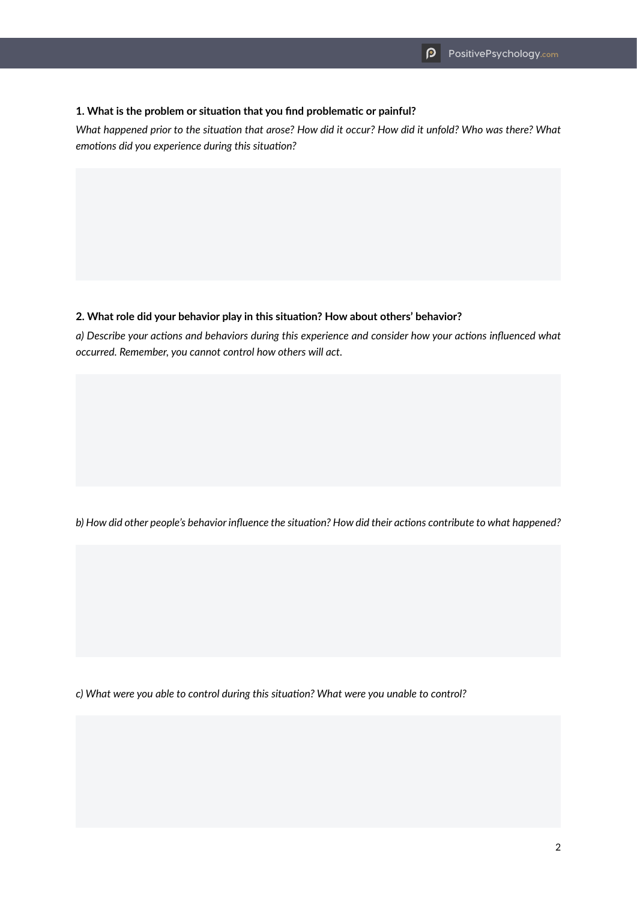## **1. What is the problem or situation that you find problematic or painful?**

*What happened prior to the situation that arose? How did it occur? How did it unfold? Who was there? What emotions did you experience during this situation?*

#### **2. What role did your behavior play in this situation? How about others' behavior?**

*a) Describe your actions and behaviors during this experience and consider how your actions influenced what occurred. Remember, you cannot control how others will act.*

*b) How did other people's behavior influence the situation? How did their actions contribute to what happened?*

*c) What were you able to control during this situation? What were you unable to control?*